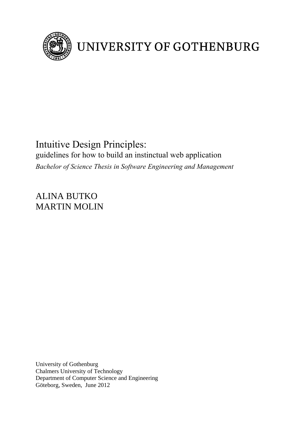

# UNIVERSITY OF GOTHENBURG

# Intuitive Design Principles: guidelines for how to build an instinctual web application *Bachelor of Science Thesis in Software Engineering and Management*

ALINA BUTKO MARTIN MOLIN

University of Gothenburg Chalmers University of Technology Department of Computer Science and Engineering Göteborg, Sweden, June 2012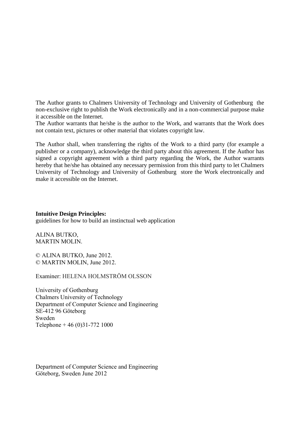The Author grants to Chalmers University of Technology and University of Gothenburg the non-exclusive right to publish the Work electronically and in a non-commercial purpose make it accessible on the Internet.

The Author warrants that he/she is the author to the Work, and warrants that the Work does not contain text, pictures or other material that violates copyright law.

The Author shall, when transferring the rights of the Work to a third party (for example a publisher or a company), acknowledge the third party about this agreement. If the Author has signed a copyright agreement with a third party regarding the Work, the Author warrants hereby that he/she has obtained any necessary permission from this third party to let Chalmers University of Technology and University of Gothenburg store the Work electronically and make it accessible on the Internet.

# **Intuitive Design Principles:**

guidelines for how to build an instinctual web application

ALINA BUTKO, MARTIN MOLIN.

© ALINA BUTKO, June 2012. © MARTIN MOLIN, June 2012.

Examiner: HELENA HOLMSTRÖM OLSSON

University of Gothenburg Chalmers University of Technology Department of Computer Science and Engineering SE-412 96 Göteborg Sweden Telephone + 46 (0)31-772 1000

Department of Computer Science and Engineering Göteborg, Sweden June 2012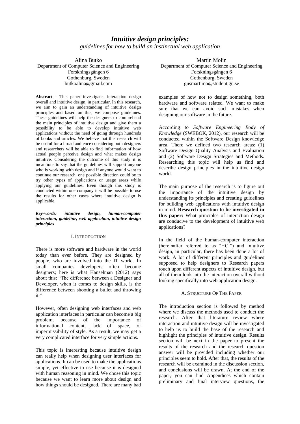# *Intuitive design principles: guidelines for how to build an instinctual web application*

Alina Butko Department of Computer Science and Engineering Forskningsgången 6 Gothenburg, Sweden butkoalina@gmail.com

**Abstract** - This paper investigates interaction design overall and intuitive design, in particular. In this research, we aim to gain an understanding of intuitive design principles and based on this, we compose guidelines. These guidelines will help the designers to comprehend the main principles of intuitive design and give them a possibility to be able to develop intuitive web applications without the need of going through hundreds of books and articles. We believe that this research will be useful for a broad audience considering both designers and researchers will be able to find information of how actual people perceive design and what makes design intuitive. Considering the outcome of this study it is incautious to say that the guidelines will support anyone who is working with design and if anyone would want to continue our research, one possible direction could be to try other types of applications or usage areas while applying our guidelines. Even though this study is conducted within one company it will be possible to use the results for other cases where intuitive design is applicable.

*Key-words: intuitive design, human-computer interaction, guideline, web application, intuitive design principles*

#### I. INTRODUCTION

There is more software and hardware in the world today than ever before. They are designed by people, who are involved into the IT world. In small companies developers often become designers; here is what Hanselman (2012) says about this: "The difference between a Designer and Developer, when it comes to design skills, is the difference between shooting a bullet and throwing it."

However, often designing web interfaces and web application interfaces in particular can become a big problem, because of the importance of informational content, lack of space, or impermissibility of style. As a result, we may get a very complicated interface for very simple actions.

This topic is interesting because intuitive design can really help when designing user interfaces for applications. It can be used to make the applications simple, yet effective to use because it is designed with human reasoning in mind. We chose this topic because we want to learn more about design and how things should be designed. There are many bad

Martin Molin Department of Computer Science and Engineering Forskningsgången 6 Gothenburg, Sweden gusmartimo@student.gu.se

examples of how not to design something, both hardware and software related. We want to make sure that we can avoid such mistakes when designing our software in the future.

According to *Software Engineering Body of Knowledge* (SWEBOK, 2012), our research will be conducted within the Software Design knowledge area. There we defined two research areas: (1) Software Design Quality Analysis and Evaluation and (2) Software Design Strategies and Methods. Researching this topic will help us find and describe design principles in the intuitive design world.

The main purpose of the research is to figure out the importance of the intuitive design by understanding its principles and creating guidelines for building web applications with intuitive design in mind. **Research question to be investigated in this paper:** What principles of interaction design are conducive to the development of intuitive web applications?

In the field of the human-computer interaction (hereinafter referred to as "HCI") and intuitive design, in particular, there has been done a lot of work. A lot of different principles and guidelines supposed to help designers to Research papers touch upon different aspects of intuitive design, but all of them look into the interaction overall without looking specifically into web application design.

# A. STRUCTURE OF THE PAPER

The introduction section is followed by method where we discuss the methods used to conduct the research. After that literature review where interaction and intuitive design will be investigated to help us to build the base of the research and highlight the principles of intuitive design. Results section will be next in the paper to present the results of the research and the research question answer will be provided including whether our principles seem to hold. After that, the results of the research will be examined in the discussion section, and conclusions will be drawn. At the end of the paper, you can find Appendices which contain preliminary and final interview questions, the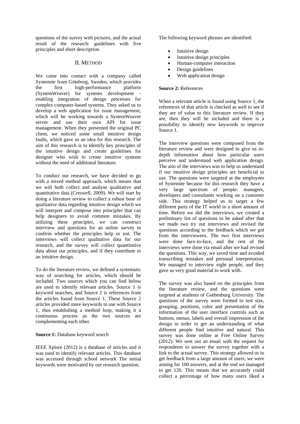questions of the survey with pictures, and the actual result of the research: guidelines with five principles and short description.

#### II. METHOD

We came into contact with a company called Systemite from Göteborg, Sweden, which provides the first high-performance platform (SystemWeaver) for systems development enabling integration of design processes for complex computer-based systems. They asked us to develop a web application for issue management, which will be working towards a SystemWeaver server and use their own API for issue management. When they presented the original PC client, we noticed some small intuitive design faults, which gave us an idea for this research. The aim of this research is to identify key principles of the intuitive design and create guidelines for designer who wish to create intuitive systems without the need of additional literature.

To conduct our research, we have decided to go with a mixed method approach, which means that we will both collect and analyse qualitative and quantitative data (Creswell, 2009). We will start by doing a literature review to collect a robust base of qualitative data regarding intuitive design which we will interpret and compose into principles that can help designers to avoid common mistakes. By utilizing these principles, we can construct interview and questions for an online survey to confirm whether the principles help or not. The interviews will collect qualitative data for our research, and the survey will collect quantitative data about our principles, and if they contribute to an intuitive design.

To do the literature review, we defined a systematic way of searching for articles, which should be included. Two sources which you can find below are used to identify relevant articles. Source 1 is keyword searches, and Source 2 is references from the articles found from Source 1. These Source 2 articles provided more keywords to use with Source 1, thus establishing a method loop, making it a continuous process as the two sources are complementing each other.

# **Source 1:** Database keyword search

IEEE Xplore (2012) is a database of articles and it was used to identify relevant articles. This database was accessed through school network The initial keywords were motivated by our research question.

The following keyword phrases are identified:

- Intuitive design
- Intuitive design principles
- Human-computer interaction
- Design guidelines
- Web application design

# **Source 2:** References

When a relevant article is found using Source 1, the references of that article is checked as well to see if they are of value to this literature review. If they are, then they will be included and there is a possibility to identify new keywords to improve Source 1.

The interview questions were composed from the literature review and were designed to give us indepth information about how particular users perceive and understand web application design. The aim of the interviews was to help us understand if our intuitive design principles are beneficial to use. The questions were targeted at the employees of Systemite because for this research they have a very large spectrum of people: managers, developers and consultants working on a customer side. This strategy helped us to target a few different parts of the IT world in a short amount of time. Before we did the interviews, we created a preliminary list of questions to be asked after that we made two try out interviews and revised the questions according to the feedback which we got from the interviewees. The two first interviews were done face-to-face, and the rest of the interviews were done via email after we had revised the questions. This way, we saved time and avoided transcribing mistakes and personal interpretation. We managed to interview eight people, and they gave us very good material to work with.

The survey was also based on the principles from the literature review, and the questions were targeted at students of Gothenburg University. The questions of the survey were formed to test size, grouping, positions, color and presentation of the information of the user interface controls such as buttons, menus, labels and overall impression of the design in order to get an understanding of what different people find intuitive and natural. This survey was done online at Free Online Survey (2012). We sent out an email with the request for respondents to answer the survey together with a link to the actual survey. This strategy allowed us to get feedback from a large amount of users; we were aiming for 100 answers, and at the end we managed to get 126. This means that we accurately could collect a percentage of how many users liked a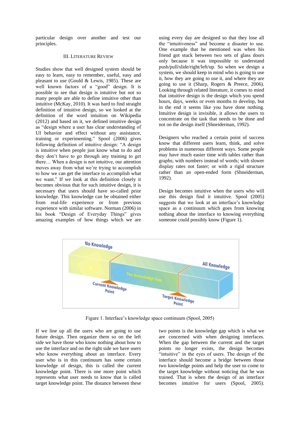particular design over another and test our principles.

#### III. LITERATURE REVIEW

Studies show that well designed system should be easy to learn, easy to remember, useful, easy and pleasant to use (Gould & Lewis, 1985). These are well known factors of a "good" design. It is possible to see that design is intuitive but not so many people are able to define intuitive other than intuitive (McKay, 2010). It was hard to find straight definition of intuitive design, so we looked at the definition of the word intuition on Wikipedia (2012) and based on it, we defined intuitive design as "design where a user has clear understanding of UI behavior and effect without any assistance, training or experimenting." Spool (2006) gives following definition of intuitive design: "A design is intuitive when people just know what to do and they don't have to go through any training to get there… When a design is not intuitive, our attention moves away from what we're trying to accomplish to how we can get the interface to accomplish what we want." If we look at this definition closely it becomes obvious that for such intuitive design, it is necessary that users should have so-called prior knowledge. This knowledge can be obtained either from real-life experience or from previous experience with similar software. Norman (2006) in his book "Design of Everyday Things" gives amazing examples of how things which we are

using every day are designed so that they lose all the "intuitiveness" and become a disaster to use. One example that he mentioned was when his friend got stuck between two sets of glass doors only because it was impossible to understand push/pull/slide/right/left/up. So when we design a system, we should keep in mind who is going to use it, how they are going to use it, and where they are going to use it (Sharp, Rogers & Preece, 2006). Looking through related literature, it comes to mind that intuitive design is the design which you spend hours, days, weeks or even months to develop, but in the end it seems like you have done nothing. Intuitive design is invisible, it allows the users to concentrate on the task that needs to be done and not on the design itself (Shneiderman, 1992).

Designers who reached a certain point of success know that different users learn, think, and solve problems in numerous different ways. Some people may have much easier time with tables rather than graphs; with numbers instead of words; with slower display rates not faster; or with a rigid structure rather than an open-ended form (Shneiderman, 1992).

Design becomes intuitive when the users who will use this design find it intuitive. Spool (2005) suggests that we look at an interface's knowledge space as a continuum which goes from knowing nothing about the interface to knowing everything someone could possibly know (Figure 1).



Figure 1. Interface's knowledge space continuum (Spool, 2005)

If we line up all the users who are going to use future design. Then organize them so on the left side we have those who know nothing about how to use the interface and on the right side we have users who know everything about an interface. Every user who is in this continuum has some certain knowledge of design, this is called the current knowledge point. There is one more point which represents what user needs to know that is called target knowledge point. The distance between these two points is the knowledge gap which is what we are concerned with when designing interfaces. When the gap between the current and the target points no longer exists, the design becomes "intuitive" in the eyes of users. The design of the interface should become a bridge between those two knowledge points and help the user to come to the target knowledge without noticing that he was trained. That is when the design of an interface becomes intuitive for users (Spool, 2005).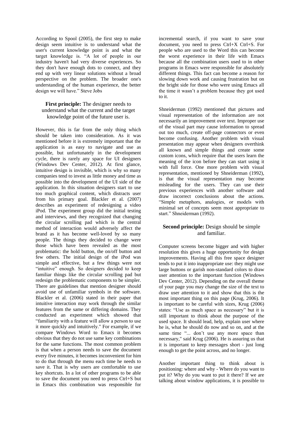According to Spool (2005), the first step to make design seem intuitive is to understand what the user's current knowledge point is and what the target knowledge is. "A lot of people in our industry haven't had very diverse experiences. So they don't have enough dots to connect, and they end up with very linear solutions without a broad perspective on the problem. The broader one's understanding of the human experience, the better design we will have." Steve Jobs

# **First principle:** The designer needs to understand what the current and the target knowledge point of the future user is.

However, this is far from the only thing which should be taken into consideration. As it was mentioned before it is extremely important that the application is as easy to navigate and use as possible, but unfortunately in the development cycle, there is rarely any space for UI designers (Windows Dev Center, 2012). At first glance, intuitive design is invisible, which is why so many companies tend to invest as little money and time as possible into the development of the UI side of the application. In this situation designers start to use too much graphical content, which distracts user from his primary goal. Blackler et al. (2007) describes an experiment of redesigning a video iPod. The experiment group did the initial testing and interviews, and they recognized that changing the circular scrolling pad which is the central method of interaction would adversely affect the brand as it has become well-loved by so many people. The things they decided to change were those which have been revealed as the most problematic: the hold button, the on/off button and few others. The initial design of the iPod was simple and effective, but a few things were not "intuitive" enough. So designers decided to keep familiar things like the circular scrolling pad but redesign the problematic components to be simpler. There are guidelines that mention designer should avoid use of unfamiliar symbols in the software. Blackler et al. (2006) stated in their paper that intuitive interaction may work through the similar features from the same or differing domains. They conducted an experiment which showed that "familiarity with a feature will allow a person to use it more quickly and intuitively." For example, if we compare Windows Word to Emacs it becomes obvious that they do not use same key combinations for the same functions. The most common problem is that when a person needs to save the document every five minutes, it becomes inconvenient for him to do that through the menu each time he needs to save it. That is why users are comfortable to use key shortcuts. In a lot of other programs to be able to save the document you need to press Ctrl+S but in Emacs this combination was responsible for

incremental search, if you want to save your document, you need to press Ctrl+X Ctrl+S. For people who are used to the Word this can become the worst experience in their life with Emacs because all the combination users used to in other programs in Emacs were responsible for absolutely different things. This fact can become a reason for slowing down work and causing frustration but on the bright side for those who were using Emacs all the time it wasn't a problem because they got used to it.

Shneiderman (1992) mentioned that pictures and visual representation of the information are not necessarily an improvement over text. Improper use of the visual part may cause information to spread out too much, create off-page connectors or even become confusing. Another problem with visual presentation may appear when designers overthink all known and simple things and create some custom icons, which require that the users learn the meaning of the icon before they can start using it with full force. One more problem with visual representation, mentioned by Shneiderman (1992), is that the visual representation may become misleading for the users. They can use their previous experiences with another software and draw incorrect conclusions about the actions. "Simple metaphors, analogies, or models with minimal set of concepts seem most appropriate to start." Shneiderman (1992).

# **Second principle:** Design should be simple and familiar.

Computer screens become bigger and with higher resolution this gives a huge opportunity for design improvements. Having all this free space designer tends to put it into inappropriate use: they might use large buttons or garish non-standard colors to draw user attention to the important function (Windows Dev Center, 2012). Depending on the overall theme of your page you may change the size of the text to draw user attention to it and show that this is the most important thing on this page (Krug, 2006). It is important to be careful with sizes, Krug (2006) states: "Use as much space as necessary" but it is still important to think about the purpose of the used space. It should lead, help, explain user where he is, what he should do now and so on, and at the same time "... don't use any more space than necessary," said Krug (2006). He is assuring us that it is important to keep messages short - just long enough to get the point across, and no longer.

Another important thing to think about is positioning: where and why - Where do you want to put it? Why do you want to put it there? If we are talking about window applications, it is possible to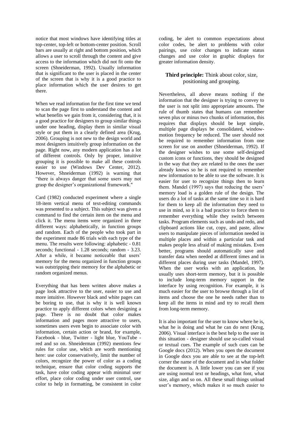notice that most windows have identifying titles at top-center, top-left or bottom-center position. Scroll bars are usually at right and bottom position, which allows a user to scroll through the content and give access to the information which did not fit onto the screen (Shneiderman, 1992). Usually information that is significant to the user is placed in the center of the screen that is why it is a good practice to place information which the user desires to get there.

When we read information for the first time we tend to scan the page first to understand the content and what benefits we gain from it, considering that, it is a good practice for designers to group similar things under one heading, display them in similar visual style or put them in a clearly defined area (Krug, 2006). Grouping is not new to the design world and most designers intuitively group information on the page. Right now, any modern application has a lot of different controls. Only by proper, intuitive grouping it is possible to make all these controls easier to use (Windows Dev Center, 2012). However, Shneiderman (1992) is warning that "there is always danger that some users may not grasp the designer's organizational framework."

Card (1982) conducted experiment where a single 18-item vertical menu of text-editing commands was presented to a subject. This subject was given a command to find the certain item on the menu and click it. The menu items were organized in three different ways: alphabetically, in function groups and random. Each of the people who took part in the experiment made 86 trials with each type of the menu. The results were following: alphabetic - 0.81 seconds; functional - 1.28 seconds; random - 3.23. After a while, it became noticeable that users' memory for the menu organized in function groups was outstripping their memory for the alphabetic or random organized menus.

Everything that has been written above makes a page look attractive to the user, easier to use and more intuitive. However black and white pages can be boring to use, that is why it is well known practice to apply different colors when designing a page. There is no doubt that color makes information and pages more attractive to users, sometimes users even begin to associate color with information, certain action or brand, for example, Facebook - blue, Twitter - light blue, YouTube red and so on. Shneiderman (1992) mentions few rules for color use, which are worth mentioning here: use color conservatively, limit the number of colors, recognize the power of color as a coding technique, ensure that color coding supports the task, have color coding appear with minimal user effort, place color coding under user control, use color to help in formatting, be consistent in color

coding, be alert to common expectations about color codes, be alert to problems with color pairings, use color changes to indicate status changes and use color in graphic displays for greater information density.

# **Third principle:** Think about color, size, positioning and grouping.

Nevertheless, all above means nothing if the information that the designer is trying to convey to the user is not split into appropriate amounts. The rule of thumb states that humans can remember seven plus or minus two chunks of information, this requires that displays should be kept simple, multiple page displays be consolidated, windowmotion frequency be reduced. The user should not be required to remember information from one screen for use on another (Shneiderman, 1992). If the designer wishes to use some self-designed custom icons or functions, they should be designed in the way that they are related to the ones the user already knows so he is not required to remember new information to be able to use the software. It is easier for user to recognize things then to learn them. Mandel (1997) says that reducing the users' memory load is a golden rule of the design. The users do a lot of tasks at the same time so it is hard for them to keep all the information they need to use in mind, so it is a bad practice to force them to remember everything while they switch between tasks. Program elements such as undo and redo, and clipboard actions like cut, copy, and paste, allow users to manipulate pieces of information needed in multiple places and within a particular task and makes people less afraid of making mistakes. Even better, programs should automatically save and transfer data when needed at different times and in different places during user tasks (Mandel, 1997). When the user works with an application, he usually uses short-term memory, but it is possible to include long-term memory support in the interface by using recognition. For example, it is much easier for the user to browse through a list of items and choose the one he needs rather than to keep all the items in mind and try to recall them from long-term memory.

It is also important for the user to know where he is, what he is doing and what he can do next (Krug, 2006). Visual interface is the best help to the user in this situation - designer should use so-called visual or textual cues. The example of such cues can be Google docs (2012). When you open the document in Google docs you are able to see at the top-left corner the name of the document and in what folder the document is. A little lower you can see if you are using normal text or headings, what font, what size, align and so on. All these small things unload user's memory, which makes it so much easier to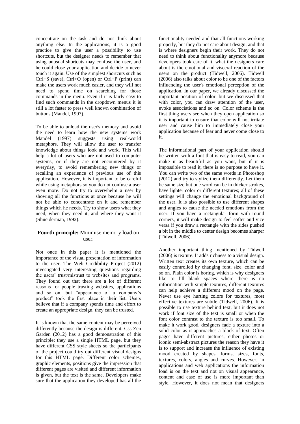concentrate on the task and do not think about anything else. In the applications, it is a good practice to give the user a possibility to use shortcuts, but the designer needs to remember that using unusual shortcuts may confuse the user, and he could close your application and decide to never touch it again. Use of the simplest shortcuts such as Ctrl+S (save), Ctrl+O (open) or Ctrl+P (print) can make the users work much easier, and they will not need to spend time on searching for those commands in the menu. Even if it is fairly easy to find such commands in the dropdown menus it is still a lot faster to press well known combination of buttons (Mandel, 1997).

To be able to unload the user's memory and avoid the need to learn how the new systems work Mandel (1997) suggests using real-world metaphors. They will allow the user to transfer knowledge about things look and work. This will help a lot of users who are not used to computer systems, or if they are not encountered by it everyday, to avoid remembering new things or recalling an experience of previous use of this application. However, it is important to be careful while using metaphors so you do not confuse a user even more. Do not try to overwhelm a user by showing all the functions at once because he will not be able to concentrate on it and remember things which he needs. Try to show users what they need, when they need it, and where they want it (Shneiderman, 1992).

# **Fourth principle:** Minimise memory load on user.

Not once in this paper it is mentioned the importance of the visual presentation of information to the user. The Web Credibility Project (2012) investigated very interesting questions regarding the users' trust/mistrust to websites and programs. They found out that there are a lot of different reasons for people trusting websites, applications and so on, but "appearance of a company's product" took the first place in their list. Users believe that if a company spends time and effort to create an appropriate design, they can be trusted.

It is known that the same content may be perceived differently because the design is different. Css Zen Garden (2012) has a good demonstration of this principle; they use a single HTML page, but they have different CSS style sheets so the participants of the project could try out different visual designs for this HTML page. Different color schemes, graphic elements, positions give the impression that different pages are visited and different information is given, but the text is the same. Developers make sure that the application they developed has all the

functionality needed and that all functions working properly, but they do not care about design, and that is where designers begin their work. They do not need to think about functionality anymore because developers took care of it, what the designers care about is the emotional and visceral reaction of the users on the product (Tidwell, 2006). Tidwell (2006) also talks about color to be one of the factors influencing the user's emotional perception of the application. In our paper, we already discussed the important position of color, but we discussed that with color, you can draw attention of the user, evoke associations and so on. Color scheme is the first thing users see when they open application so it is important to ensure that color will not irritate user and cause him to immediately close your application because of fear and never come close to it.

The informational part of your application should be written with a font that is easy to read, you can make it as beautiful as you want, but if it is impossible to read it, there is no purpose to have it. You can write two of the same words in Photoshop (2012) and try to stylize them differently. Let them be same size but one word can be in thicker strokes, have lighter color or different textures; all of these settings will change the emotional background of the user. It is also possible to use different shapes and angles to cause the needed emotions from the user. If you have a rectangular form with round corners, it will make design to feel softer and vice versa if you draw a rectangle with the sides pushed a bit in the middle to center design becomes sharper (Tidwell, 2006).

Another important thing mentioned by Tidwell (2006) is texture. It adds richness to a visual design. Written text creates its own texture, which can be easily controlled by changing font, size, color and so on. Plain color is boring, which is why designers like to fill blank spaces where there is no information with simple textures, different textures can help achieve a different mood on the page. Never use eye hurting colors for textures, most effective textures are subtle (Tidwell, 2006). It is possible to use texture behind text, but it does not work if font size of the text is small or when the font color contrast to the texture is too small. To make it work good, designers fade a texture into a solid color as it approaches a block of text. Often pages have different pictures, either photos or iconic semi-abstract pictures the reason they have it is to support and increase the influence of existing mood created by shapes, forms, sizes, fonts, textures, colors, angles and curves. However, in applications and web applications the information load is on the text and not on visual appearance, content and ease of use is more important than style. However, it does not mean that designers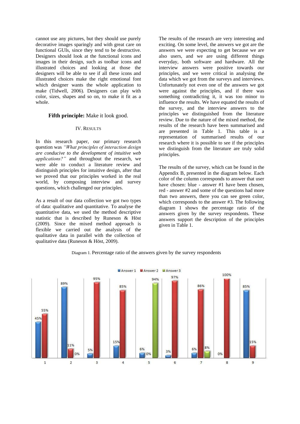cannot use any pictures, but they should use purely decorative images sparingly and with great care on functional GUIs, since they tend to be destructive. Designers should look at the functional icons and images in their design, such as toolbar icons and illustrated choices and looking at those the designers will be able to see if all these icons and illustrated choices make the right emotional font which designer wants the whole application to make (Tidwell, 2006). Designers can play with color, sizes, shapes and so on, to make it fit as a whole.

# **Fifth principle:** Make it look good.

#### IV. RESULTS

In this research paper, our primary research question was *"What principles of interaction design are conducive to the development of intuitive web applications?"* and throughout the research, we were able to conduct a literature review and distinguish principles for intuitive design, after that we proved that our principles worked in the real world, by composing interview and survey questions, which challenged our principles.

As a result of our data collection we got two types of data: qualitative and quantitative. To analyse the quantitative data, we used the method descriptive statistic that is described by Runeson & Höst (2009). Since the mixed method approach is flexible we carried out the analysis of the qualitative data in parallel with the collection of qualitative data (Runeson & Höst, 2009).

The results of the research are very interesting and exciting. On some level, the answers we got are the answers we were expecting to get because we are also users, and we are using different things everyday, both software and hardware. All the interview answers were positive towards our principles, and we were critical in analysing the data which we got from the surveys and interviews. Unfortunately not even one of the answers we got were against the principles, and if there was something contradicting it, it was too minor to influence the results. We have equated the results of the survey, and the interview answers to the principles we distinguished from the literature review. Due to the nature of the mixed method, the results of the research have been summarised and are presented in Table 1. This table is a representation of summarised results of our research where it is possible to see if the principles we distinguish from the literature are truly solid principles.

The results of the survey, which can be found in the Appendix B, presented in the diagram below. Each color of the column corresponds to answer that user have chosen: blue - answer #1 have been chosen, red - answer #2 and some of the questions had more than two answers, there you can see green color, which corresponds to the answer #3. The following diagram 1 shows the percentage ratio of the answers given by the survey respondents. These answers support the description of the principles given in Table 1.



Diagram 1. Percentage ratio of the answers given by the survey respondents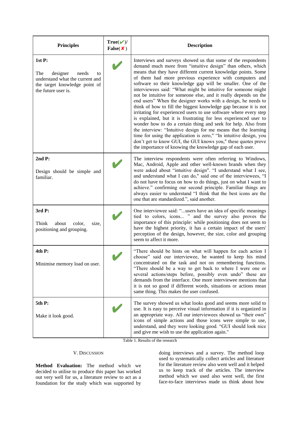| <b>Principles</b>                                                                                                                  | $True(V)$ /<br>False(X) | <b>Description</b>                                                                                                                                                                                                                                                                                                                                                                                                                                                                                                                                                                                                                                                                                                                                                                                                                                                                                                                                                                                                                                                                |  |
|------------------------------------------------------------------------------------------------------------------------------------|-------------------------|-----------------------------------------------------------------------------------------------------------------------------------------------------------------------------------------------------------------------------------------------------------------------------------------------------------------------------------------------------------------------------------------------------------------------------------------------------------------------------------------------------------------------------------------------------------------------------------------------------------------------------------------------------------------------------------------------------------------------------------------------------------------------------------------------------------------------------------------------------------------------------------------------------------------------------------------------------------------------------------------------------------------------------------------------------------------------------------|--|
| 1stP:<br>The<br>designer<br>needs<br>to<br>understand what the current and<br>the target knowledge point of<br>the future user is. |                         | Interviews and surveys showed us that some of the respondents<br>demand much more from "intuitive design" than others, which<br>means that they have different current knowledge points. Some<br>of them had more previous experience with computers and<br>software so their knowledge gap will be smaller. One of the<br>interviewees said: "What might be intuitive for someone might<br>not be intuitive for someone else, and it really depends on the<br>end users" When the designer works with a design, he needs to<br>think of how to fill the biggest knowledge gap because it is not<br>irritating for experienced users to use software where every step<br>is explained, but it is frustrating for less experienced user to<br>wonder how to do a certain thing and seek for help. Also from<br>the interview: "Intuitive design for me means that the learning<br>time for using the application is zero," "In intuitive design, you<br>don't get to know GUI, the GUI knows you," these quotes prove<br>the importance of knowing the knowledge gap of each user. |  |
| 2ndP:<br>Design should be simple and<br>familiar.                                                                                  |                         | The interview respondents were often referring to Windows,<br>Mac, Android, Apple and other well-known brands when they<br>were asked about "intuitive design". "I understand what I see,<br>and understand what I can do," said one of the interviewees, "I<br>do not have to focus on how to do things, just on what I want to<br>achieve." confirming our second principle. Familiar things are<br>always easier to understand "I think that the best icons are the<br>one that are standardized.", said another.                                                                                                                                                                                                                                                                                                                                                                                                                                                                                                                                                              |  |
| 3rd P:<br>Think<br>about<br>color,<br>size,<br>positioning and grouping.                                                           |                         | One interviewee said: "users have an idea of specific meanings<br>tied to colors, icons " and the survey also proves the<br>importance of this principle: while positioning does not seem to<br>have the highest priority, it has a certain impact of the users'<br>perception of the design, however, the size, color and grouping<br>seem to affect it more.                                                                                                                                                                                                                                                                                                                                                                                                                                                                                                                                                                                                                                                                                                                    |  |
| 4th P:<br>Minimise memory load on user.                                                                                            |                         | "There should be hints on what will happen for each action I<br>choose" said our interviewee, he wanted to keep his mind<br>concentrated on the task and not on remembering functions.<br>"There should be a way to get back to where I were one or<br>several actions/steps before, possibly even undo" these are<br>demands from the interface. One more interviewee mentions that<br>it is not so good if different words, situations or actions mean<br>same thing. This makes the user confused.                                                                                                                                                                                                                                                                                                                                                                                                                                                                                                                                                                             |  |
| 5th P:<br>Make it look good.                                                                                                       |                         | The survey showed us what looks good and seems more solid to<br>use. It is easy to perceive visual information if it is organized in<br>an appropriate way. All our interviewees showed us "their own"<br>icons of simple actions and those icons were simple to use,<br>understand, and they were looking good. "GUI should look nice<br>and give me wish to use the application again."                                                                                                                                                                                                                                                                                                                                                                                                                                                                                                                                                                                                                                                                                         |  |

Table 1. Results of the research

# V. DISCUSSION

**Method Evaluation:** The method which we decided to utilise to produce this paper has worked out very well for us, a literature review to act as a foundation for the study which was supported by doing interviews and a survey. The method loop used to systematically collect articles and literature for the literature review also went well and it helped us to keep track of the articles. The interview method which we used also went well, the first face-to-face interviews made us think about how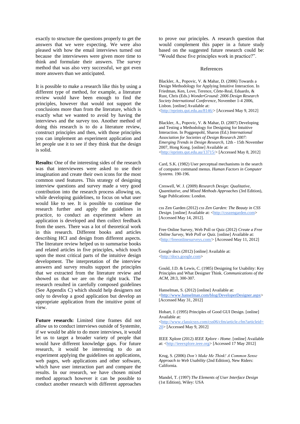exactly to structure the questions properly to get the answers that we were expecting. We were also pleased with how the email interviews turned out because the interviewees were given more time to think and formulate their answers. The survey method that was also very successful, we got even more answers than we anticipated.

It is possible to make a research like this by using a different type of method, for example, a literature review would have been enough to find the principles, however that would not support the conclusions more than from the literature, which is exactly what we wanted to avoid by having the interviews and the survey too. Another method of doing this research is to do a literature review, construct principles and then, with those principles you can implement an experiment application and let people use it to see if they think that the design is solid.

**Results:** One of the interesting sides of the research was that interviewees were asked to use their imagination and create their own icons for the most common used features. This strategy of designing interview questions and survey made a very good contribution into the research process allowing us, while developing guidelines, to focus on what user would like to see. It is possible to continue the research further and apply the guidelines in practice, to conduct an experiment where an application is developed and then collect feedback from the users. There was a lot of theoretical work in this research. Different books and articles describing HCI and design from different aspects. The literature review helped us to summarise books and related articles in five principles, which touch upon the most critical parts of the intuitive design development. The interpretation of the interview answers and survey results support the principles that we extracted from the literature review and showed us that we are on the right track. The research resulted in carefully composed guidelines (See Appendix C) which should help designers not only to develop a good application but develop an appropriate application from the intuitive point of view.

**Future research:** Limited time frames did not allow us to conduct interviews outside of Systemite, if we would be able to do more interviews, it would let us to target a broader variety of people that would have different knowledge gaps. For future research, it would be interesting to do an experiment applying the guidelines on applications, web pages, web applications and other software, which have user interaction part and compare the results. In our research, we have chosen mixed method approach however it can be possible to conduct another research with different approaches

to prove our principles. A research question that would complement this paper in a future study based on the suggested future research could be: "Would these five principles work in practice?".

#### References

Blackler, A., Popovic, V. & Mahar, D. (2006) Towards a Design Methodology for Applying Intuitive Interaction. In Friedman, Ken, Love, Terence, Côrte-Real, Eduardo, & Rust, Chris (Eds.) *WonderGround: 2006 Design Research Society International Conference*, November 1-4 2006, Lisbon. [online] Available at: [<http://eprints.qut.edu.au/8146/>](http://eprints.qut.edu.au/8146/) [Accessed May 9, 2012]

Blackler, A., Popovic, V. & Mahar, D. (2007) Developing and Testing a Methodology for Designing for Intuitive Interaction. In Poggenpohl, Sharon (Ed.) *International Association for Societies of Design Research 2007: Emerging Trends in Design Research*, 12th - 15th November 2007, Hong Kong. [online] Available at: [<http://eprints.qut.edu.au/13715/>](http://eprints.qut.edu.au/13715/) [Accessed May 8, 2012]

Card, S.K. (1982) User perceptual mechanisms in the search of computer command menus. *Human Factors in Computer Systems.* 190-196.

Creswell, W. J. (2009) *Research Design: Qualitative, Quantitative, and Mixed Methods Approaches* (3rd Edition), Sage Publications: London.

css Zen Garden (2012) *css Zen Garden: The Beauty in CSS Design*. [online] Available at: [<http://csszengarden.com>](http://csszengarden.com/) [Accessed May 14, 2012].

Free Online Survey, Web Poll or Quiz (2012) *Create a Free Online Survey, Web Poll or Quiz.* [online] Available at: [<http://freeonlinesurveys.com/>](http://freeonlinesurveys.com/) [Accessed May 11, 2012]

Google docs (2012) [online] Available at: [<http://docs.google.com>](about:blank)

Gould, J.D. & Lewis, C. (1985) Designing for Usability: Key Principles and What Designer Think. *Communications of the ACM*, 28:3, 300-307.

Hanselman, S. (2012) [online] Available at: [<http://www.hanselman.com/blog/DeveloperDesigner.aspx>](http://www.hanselman.com/blog/DeveloperDesigner.aspx) [Accessed May 31, 2012]

Hobart, J. (1995) Principles of Good GUI Design. [online] Available at:

[<http://www.classicsys.com/css06/cfm/article.cfm?articleid=](http://www.classicsys.com/css06/cfm/article.cfm?articleid=20) [20>](http://www.classicsys.com/css06/cfm/article.cfm?articleid=20) [Accessed May 9, 2012]

IEEE Xplore (2012) *IEEE Xplore - Home*. [online] Available at: [<http://ieeexplore.ieee.org>](http://ieeexplore.ieee.org/) [Accessed 17 May 2012]

Krug, S. (2006) *Don't Make Me Think! A Common Sense Approach to Web Usability* (2nd Edition), New Riders: California.

Mandel, T. (1997) *The Elements of User Interface Design* (1st Edition), Wiley: USA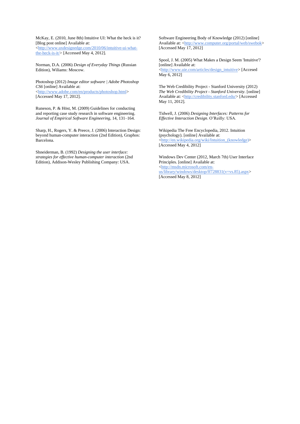McKay, E. (2010, June 8th) Intuitive UI: What the heck is it? [Blog post online] Available at: [<http://www.uxdesignedge.com/2010/06/intuitive-ui-what-](http://www.uxdesignedge.com/2010/06/intuitive-ui-what-the-heck-is-it/)

[the-heck-is-it/>](http://www.uxdesignedge.com/2010/06/intuitive-ui-what-the-heck-is-it/) [Accessed May 4, 2012].

Norman, D.A. (2006) *Design of Everyday Things* (Russian Edition), Wiliams: Moscow.

Photoshop (2012) *Image editor software | Adobe Photoshop CS6* [online] Available at: [<http://www.adobe.com/en/products/photoshop.html>](http://www.adobe.com/en/products/photoshop.html) [Accessed May 17, 2012].

Runeson, P. & Höst, M. (2009) Guidelines for conducting and reporting case study research in software engineering. *Journal of Empirical Software Engineering*, 14, 131–164.

Sharp, H., Rogers, Y. & Preece, J. (2006) Interaction Design: beyond human-computer interaction (2nd Edition), Graphos: Barcelona.

Shneiderman, B. (1992) *Designing the user interface: strategies for effective human-computer interaction* (2nd Edition), Addison-Wesley Publishing Company: USA.

Software Engineering Body of Knowledge (2012) [online] Available at: [<http://www.computer.org/portal/web/swebok>](http://www.computer.org/portal/web/swebok) [Accessed May 17, 2012]

Spool, J. M. (2005) What Makes a Design Seem 'Intuitive'? [online] Available at: [<http://www.uie.com/articles/design\\_intuitive>](http://www.uie.com/articles/design_intuitive) [Accesed May 6, 2012]

The Web Credibility Project - Stanford University (2012) *The Web Credibility Project - Stanford University*. [online] Available at: [<http://credibility.stanford.edu/>](http://credibility.stanford.edu/) [Accessed May 11, 2012].

Tidwell, J. (2006) *Designing Interfaces: Patterns for Effective Interaction Design*. O'Reilly: USA.

Wikipedia The Free Encyclopedia, 2012. Intuition (psychology). [online] Available at: [<http://en.wikipedia.org/wiki/Intuition\\_\(knowledge\)](http://en.wikipedia.org/wiki/Intuition_(knowledge)> [Accessed May 4, 2012]

Windows Dev Center (2012, March 7th) User Interface Principles. [online] Available at: [<http://msdn.microsoft.com/en](http://msdn.microsoft.com/en-us/library/windows/desktop/ff728831(v=vs.85).aspx)[us/library/windows/desktop/ff728831\(v=vs.85\).aspx>](http://msdn.microsoft.com/en-us/library/windows/desktop/ff728831(v=vs.85).aspx) [Accessed May 8, 2012]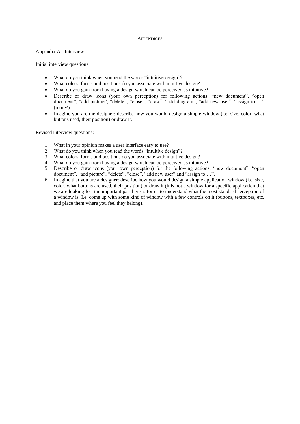#### **APPENDICES**

Appendix A - Interview

Initial interview questions:

- What do you think when you read the words "intuitive design"?
- What colors, forms and positions do you associate with intuitive design?
- What do you gain from having a design which can be perceived as intuitive?
- Describe or draw icons (your own perception) for following actions: "new document", "open document", "add picture", "delete", "close", "draw", "add diagram", "add new user", "assign to ..." (more?)
- Imagine you are the designer: describe how you would design a simple window (i.e. size, color, what buttons used, their position) or draw it.

Revised interview questions:

- 1. What in your opinion makes a user interface easy to use?
- 2. What do you think when you read the words "intuitive design"?
- 3. What colors, forms and positions do you associate with intuitive design?
- 4. What do you gain from having a design which can be perceived as intuitive?
- 5. Describe or draw icons (your own perception) for the following actions: "new document", "open document", "add picture", "delete", "close", "add new user" and "assign to ..."
- 6. Imagine that you are a designer: describe how you would design a simple application window (i.e. size, color, what buttons are used, their position) or draw it (it is not a window for a specific application that we are looking for; the important part here is for us to understand what the most standard perception of a window is. I.e. come up with some kind of window with a few controls on it (buttons, textboxes, etc. and place them where you feel they belong).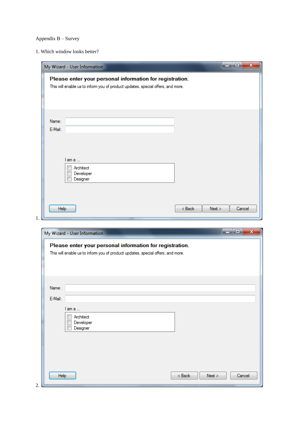# Appendix B – Survey

1. Which window looks better?

|                  | My Wizard - User Information                                                                                                                | $\mathbf{x}$<br>ا کرده ا   |
|------------------|---------------------------------------------------------------------------------------------------------------------------------------------|----------------------------|
|                  | Please enter your personal information for registration.<br>This will enable us to inform you of product updates, special offers, and more. |                            |
| Name:<br>E-Mail: |                                                                                                                                             |                            |
|                  | l am a …<br>Architect<br>Developer<br>Designer                                                                                              |                            |
| Help             |                                                                                                                                             | $Back$<br>Next ><br>Cancel |

| My Wizard - User Information                                                    | ا و اصرا                                                              |
|---------------------------------------------------------------------------------|-----------------------------------------------------------------------|
| This will enable us to inform you of product updates, special offers, and more. |                                                                       |
|                                                                                 |                                                                       |
|                                                                                 |                                                                       |
|                                                                                 |                                                                       |
|                                                                                 |                                                                       |
| lama                                                                            |                                                                       |
| Developer                                                                       |                                                                       |
| Designer                                                                        |                                                                       |
|                                                                                 |                                                                       |
|                                                                                 |                                                                       |
|                                                                                 |                                                                       |
|                                                                                 |                                                                       |
| Help                                                                            | < Back<br>Next<br>Cancel                                              |
| E-Mail:                                                                         | Please enter your personal information for registration.<br>Architect |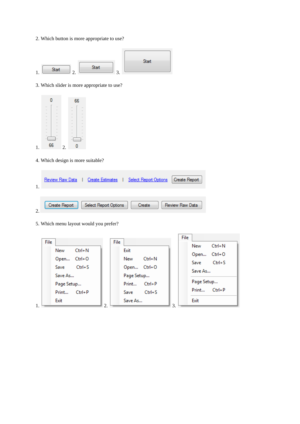2. Which button is more appropriate to use?



3. Which slider is more appropriate to use?



4. Which design is more suitable?

|           | Review Raw Data | <b>Create Estimates</b> | <b>Select Report Options</b> | <b>Create Report</b> |
|-----------|-----------------|-------------------------|------------------------------|----------------------|
| $\bigcap$ | Create Report   | Select Report Options   | Create                       | Review Raw Data      |

5. Which menu layout would you prefer?

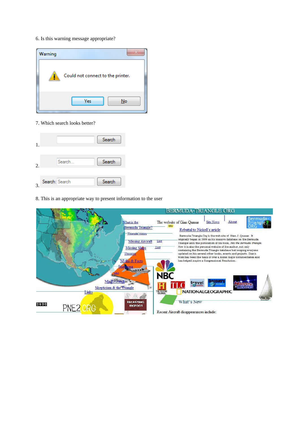#### 6. Is this warning message appropriate?



7. Which search looks better?



8. This is an appropriate way to present information to the user

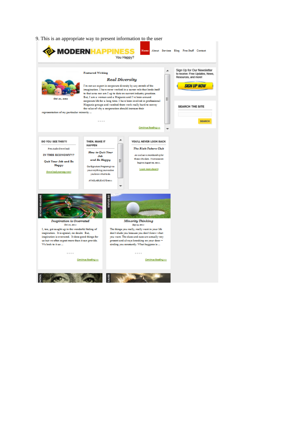9. This is an appropriate way to present information to the user